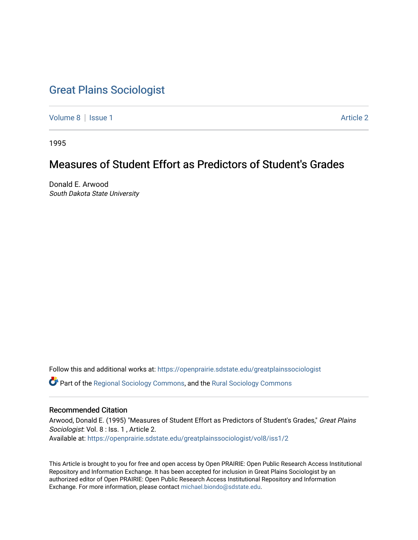# [Great Plains Sociologist](https://openprairie.sdstate.edu/greatplainssociologist)

[Volume 8](https://openprairie.sdstate.edu/greatplainssociologist/vol8) | [Issue 1](https://openprairie.sdstate.edu/greatplainssociologist/vol8/iss1) Article 2

1995

# Measures of Student Effort as Predictors of Student's Grades

Donald E. Arwood South Dakota State University

Follow this and additional works at: [https://openprairie.sdstate.edu/greatplainssociologist](https://openprairie.sdstate.edu/greatplainssociologist?utm_source=openprairie.sdstate.edu%2Fgreatplainssociologist%2Fvol8%2Fiss1%2F2&utm_medium=PDF&utm_campaign=PDFCoverPages) 

Part of the [Regional Sociology Commons](http://network.bepress.com/hgg/discipline/427?utm_source=openprairie.sdstate.edu%2Fgreatplainssociologist%2Fvol8%2Fiss1%2F2&utm_medium=PDF&utm_campaign=PDFCoverPages), and the [Rural Sociology Commons](http://network.bepress.com/hgg/discipline/428?utm_source=openprairie.sdstate.edu%2Fgreatplainssociologist%2Fvol8%2Fiss1%2F2&utm_medium=PDF&utm_campaign=PDFCoverPages) 

# Recommended Citation

Arwood, Donald E. (1995) "Measures of Student Effort as Predictors of Student's Grades," Great Plains Sociologist: Vol. 8 : Iss. 1, Article 2. Available at: [https://openprairie.sdstate.edu/greatplainssociologist/vol8/iss1/2](https://openprairie.sdstate.edu/greatplainssociologist/vol8/iss1/2?utm_source=openprairie.sdstate.edu%2Fgreatplainssociologist%2Fvol8%2Fiss1%2F2&utm_medium=PDF&utm_campaign=PDFCoverPages) 

This Article is brought to you for free and open access by Open PRAIRIE: Open Public Research Access Institutional Repository and Information Exchange. It has been accepted for inclusion in Great Plains Sociologist by an authorized editor of Open PRAIRIE: Open Public Research Access Institutional Repository and Information Exchange. For more information, please contact [michael.biondo@sdstate.edu.](mailto:michael.biondo@sdstate.edu)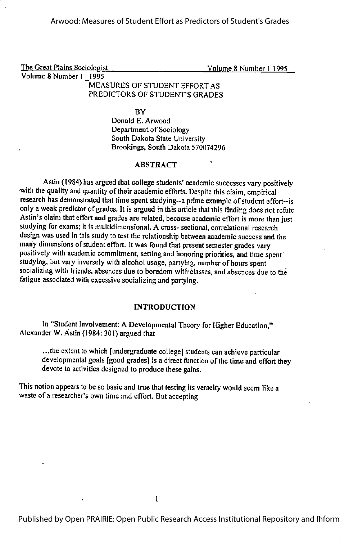The Great Plains Sociologist Volume 8 Number 1 1995 Volume 8 Number 1 1995

# MEASURES OF STUDENT EFFORT AS PREDICTORS OF STUDENT'S GRADES

**BY** 

Donald E. Arwood Department of Sociology South Dakota State University Brookings, South Dakota 570074296

# ABSTRACT

Astin (1984) has argued that college students' academic successes varypositively with the quality and quantity of their academic efforts. Despite this claim, empirical research has demonstrated that time spent studying--a prime example of student effort--is only a weak predictor of grades. It is argued in this article that this finding does not refute Astin's claim that effort and grades are related, because academic effort is more than just studying for exams; it is multidimensional. A cross- sectional, correlational research design was used in this study to test the relationship between academic success and the many dimensions of student effort. It was found that present semester grades vary positively with academic commitment, setting and honoring priorities, and time spent studying, but vary inversely with alcohol usage, partying, number of hours spent socializing with friends, absences due to boredom with classes, and absences due to the fatigue associated with excessive socializing and partying.

#### INTRODUCTION

In "Student Involvement: A Developmental Theory for Higher Education," Alexander W. Astin (1984: 301) argued that

...the extent to which [undergraduate college] students can achieve particular developmental goals [good grades] is a direct function of the time and effort they devote to activities designed to produce these gains.

This notion appears to be so basic and true that testing its veracity would seem like a waste of a researcher's own time and effort. But accepting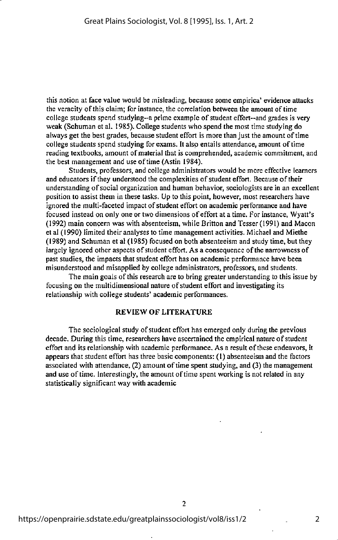this notion at face value would be misleading, because some empirica' evidence attacks the veracity of this claim; for instance, the correlation between the amount of time college students spend studying--a prime example of student effort--and grades is very weak (Schuman et al. 1985). College students who spend the most time studying do always get the best grades, because student effort is more than just the amount of time college students spend studying for exams. It also entails attendance, amount oftime reading textbooks, amount of material that is comprehended, academic commitment, and the best management and use of time (Astin 1984).

Students, professors, and college administrators would be more effective learners and educators if they understood the complexities of student effort. Because of their understanding of social organization and human behavior, sociologists are in an excellent position to assist them in these tasks. Up to this point, however, most researchers have ignored the multi-faceted impact of student effort on academic performance and have focused instead on only one or two dimensions of effort at a time. For instance, Wyait's (1992) main concern was with absenteeism, while Britton and Tesser (1991) and Macon et al (1990) limited their analyses to time management activities. Michael and Miethe (1989) and Schuman et al (1985) focused on both absenteeism and study time, but they largely ignored other aspects of student effort. As a consequence of the narrowness of past studies, the impacts that student effort has on academic performance have been misunderstood and misapplied by college administrators, professors, and students.

The main goals of this research are to bring greater understanding to this issue by focusing on the multidimensional nature of student effort and investigating its relationship with college students' academic performances.

#### REVIEW OF LITERATURE

The sociological study of student effort has emerged only during the previous decade. During this time, researchers have ascertained the empirical nature of student effort and its relationship with academic performance. As a result of these endeavors, it appears that student effort has three basic components: (1) absenteeism and the factors associated with attendance,  $(2)$  amount of time spent studying, and  $(3)$  the management and use of time. Interestingly, the amount of time spent working is not related in any statistically significant way with academic

 $\overline{2}$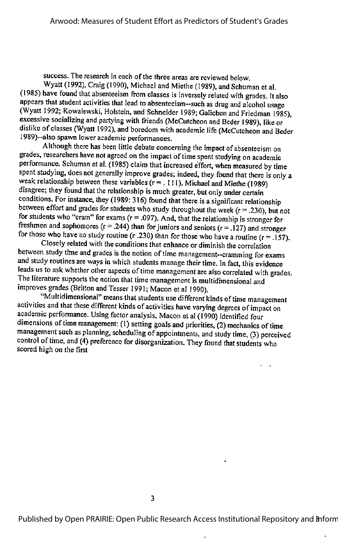success. The research in each of the three areas are reviewed below.

Wyatt (1992). Cralg (1990). Michael and Miethe (1989), and Schuman etal. (1985) have found that absenteeism from classes is inversely related with grades, italso appears that student activities that lead to absenteeism-such as drug and alcohol usage<br>(Wyatt 1992; Kowalewski, Holstein, and Schneider 1989; Galichon and Friedman 1985), excessive socializing and partying with friends (McCutcheon and Beder 1989), like or dislike of classes (Wyatt 1992), and boredom with academic life (McCutcheon and Beder 1989)--also spawn lower academic performances.

Although there has been little debate concerning the impact of absenteeism on grades, researchers have not agreed on the impact of time spent studying on academic performance. Schuman et al. (1985) claim that increased effort, when measured by time spent studying, does not generally improve grades; indeed, they found that there is only a weak relationship between these variables  $(r = .111)$ . Michael and Miethe (1989) disagree; they found that the relationship is much greater, but only under certain conditions. For instance, they (1989: 316) found that there is a significant relationship between effort and grades for students who study throughout the week ( $r = .230$ ), but not for students who "cram" for exams ( $r = .097$ ). And, that the relationship is stronger for freshmen and sophomores  $(r = .244)$  than for juniors and seniors  $(r = .127)$  and stronger for those who have no study routine (r .230) than for those who have a routine (r = .157).

Closely related with the conditions that enhance or diminish the correlation between study time and grades is the notion of time management--cramming for exams and study routines are ways in which students manage their time. In fact, this evidence leads us to ask whether other aspects of time management are also correlated with grades.<br>The literature supports the notion that time management is multidimensional and improves grades (Britton and Tesser 1991; Macon et al 1990).<br>"Multidimensional" means that students use different kinds of time management

activities and that these different kinds of activities have varying degrees of impact on academic performance. Using factor analysis, Macon etal (1990) identified four dimensions oftime management: (1) setting goals and priorities, (2) mechanics oftime management such as planning, scheduling of appointments, and study time, (3) perceived control of time, and (4) preference for disorganization. They found that students who scored high on the first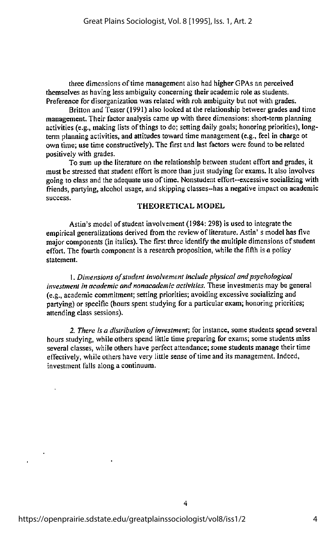three dimensions of time management also had higher GPAs an perceived themselves as having less ambiguity concerning their academic role as students. Preference for disorganization was related with roh ambiguity but not with grades.

Britton and Tesser (1991) also looked at the relationship betweer grades and time management. Their factor analysis came up with three dimensions; short-term planning activities (e.g., making lists of things to do; setting daily goals; honoring priorities), longterm planning activities, and attitudes toward time management (e.g., feel in charge ot own time; use time constructively). The first and last factors were found to be related positively with grades.

To sum up the literature on the relationship between student effort and grades, it must be stressed that student effort is more than just studying for exams. It also involves going to class and the adequate use of time. Nonstudent effort-excessive socializing with friends, partying, alcohol usage, and skipping classes--has a negative impact on academic success.

## THEORETICAL MODEL

Astin's model of student involvement (1984: 298) is used to integrate the empirical generalizations derived from the review of literature. Astin's model has five major components (in italics). The first three identify the multiple dimensions of student effort. The fourth component is a research proposition, while the fifth is a policy statement.

1. Dimensions of student involvement include physical and psychological investment in academic and nonacademic activities. These investments may be general (e.g.,academic commitment; setting priorities; avoiding excessive socializing and partying) or specific (hours spent studying for a particular exam; honoring priorities; attending class sessions).

2. There is a distribution of investment; for instance, some students spend several hours studying, while others spend little time preparing for exams; some students miss several classes, while others have perfect attendance; some students manage their time effectively, while others have very little sense of time and its management. Indeed, investment falls along a continuum.

4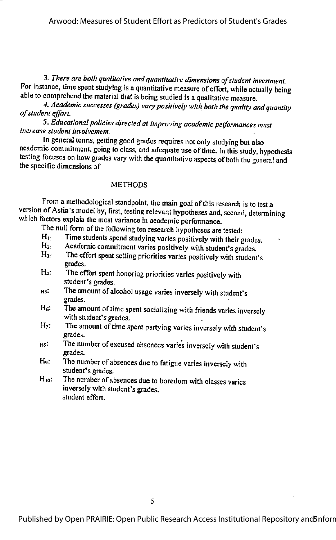3. There are both qualitative and quantitative dimensions ofstudent investment. For instance, time spent studying is a quantitative measure of effort, while actually being able to comprehend the material that is being studied is a qualitative measure.

4. Academic successes (grades) vary positively with both the quality and quantity ofstudent effort.

5. Educational policies directed at improving academic peiformances must increase student involvement.

In general terms, getting good grades requires not only studying but also academic commitment, going to class, and adequate use of time. In this study, hypothesis testing focuses on how grades vary with the quantitative aspects of both the general and the specific dimensions of

# **METHODS**

From a methodological standpoint, the main goal of this research is to test a version of Astin's model by, first, testing relevant hypotheses and, second, determining which factors explain the most variance in academic performance.

The null form of the following ten research hypotheses are tested:<br> $H_1$ . Time students spend studying varies positively with their of

- Time students spend studying varies positively with their grades.
- H<sub>2</sub>: Academic commitment varies positively with student's grades.
- H<sub>3</sub>: The effort spent setting priorities varies positively with student's grades.
- H4: The effort spent honoring priorities varies positively with student's grades.
- Hs: The amount ofalcohol usage varies inversely with student's grades.
- $H<sub>6</sub>$ : The amount of time spent socializing with friends varies inversely with student's grades.
- $H_7$ : The amount of time spent partying varies inversely with student's grades.
- His: The number of excused absences varies inversely with student's grades.
- H<sub>9</sub>: The number of absences due to fatigue varies inversely with student's grades.
- $H_{10}$ : The number of absences due to boredom with classes varies inversely with student's grades. student effort.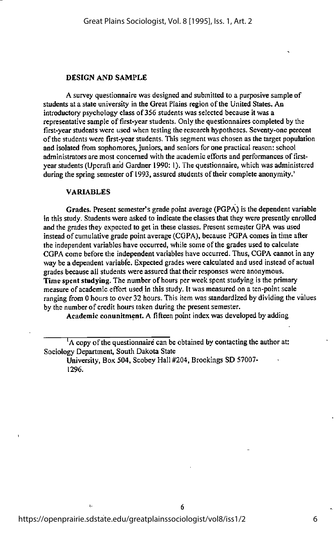#### DESIGN AND SAMPLE

A survey questionnaire was designed and submitted to a purposive sample of students at a state university in the Great Plains region of the United States. An introductory psychology class of356 students was selected because it was a representative sample of first-year students. Only the questionnaires completed by the first-year students were used when testing the research hypotheses. Seventy-one percent ofthe students were first-year students. This segment was chosen as the target population and isolated from sophomores, juniors, and seniors for one practical reason: school administrators are most concerned with the academic efforts and performances offirstyear students (Upcraffand Gardner 1990: 1). The questionnaire, which was administered during the spring semester of 1993, assured students of their complete anonymity.'

#### VARIABLES

Grades. Present semester's grade point average (PGPA) is the dependent variable in this study. Students were asked to indicate the classes that they were presently enrolled and the grades they expected to get in these classes. Present semester GPA was used instead of cumulative grade point average (CGPA), because PGPA comes in time after the independent variables have occurred, while some of the grades used to calculate CGPA come before the independent variables have occurred. Thus, CGPA cannot in any way be a dependent variable. Expected grades were calculated and used instead of actual grades becauseall students were assured that their responses were anonymous. Time spent studying. The number of hours per week spent studying is the primary measure of academic effort used in this study. It was measured on a ten-point scale ranging from 0 hours to over 32 hours. This itemwas standardized by dividing the values by the number of credit hours taken during the present semester.

Academic conunitment. A fifteen point index was developed by adding

6

University, Box 504, Scobey Hall #204, Brookings SD 57007- 1296.

į,

 $A^{\dagger}$  A copy of the questionnaire can be obtained by contacting the author at: Sociology Department, South Dakota State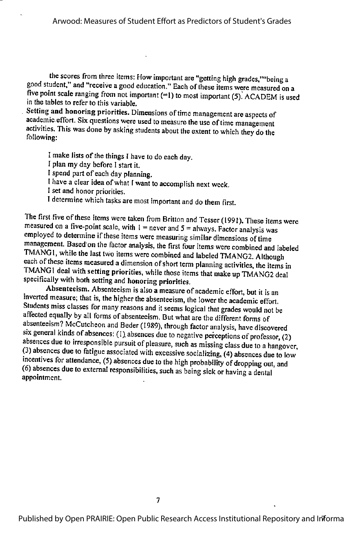the scores from three items: How important are "getting high grades,""being a good student," and "receive a good education." Each of these items were measured on a five point scale ranging from not important (=1) to most important (5). ACADEM is used in the tables to refer to this variable.

Setting and honoring priorities. Dimensions of time management are aspects of academic effort. Six questions were used to measure the use oftime management activities. This was done by askirig students about the extent to which they do the following:

I make lists of the things I have to do each day. I plan my day before I start it. Ispend part of each day planning. Ihave a clear idea ofwhat Iwant to accomplish next week. I set and honor priorities. I determine which tasks aremost important and do them first.

The first five of these items were taken from Britton and Tesser (1991). These items were measured on a five-point scale, with  $1 =$  never and  $5 =$  always. Factor analysis was employed to determine if these items were measuring similar dimensions of time<br>management. Based on the factor analysis, the first four items were combined and labeled TMANG1, while the last two items were combined and labeled TMANG2. Although each of these items measured a dimension of short term planning activities, the items in TMANGI deal with setting priorities, while those items that make up TMANG2 deal specifically with both setting and honoring priorities.

Absenteeism. Absenteeism is also a measure of academic effort, but it is an inverted measure; that is, the higher the absenteeism, the lower the academic effort. Students miss classes for many reasons and it seems logical that grades would not be affected equally by all forms of absenteeism. But what are the different forms of absenteeism? McCutcheon and Beder (1989), through factor analysis, have discovered six general kinds of absences: (1) absences due to negative perceptions of professor, (2) absences due to irresponsible pursuit of pleasure, such as missing class due to a hangover, (3) absences due to fatigue associated with excessive socializing, (4) absences due to low incentives for attendance, (5) absences due to the high probability of dropping out, and  $(6)$  absences due to external responsibilities, such as being sick or having a dental appointment.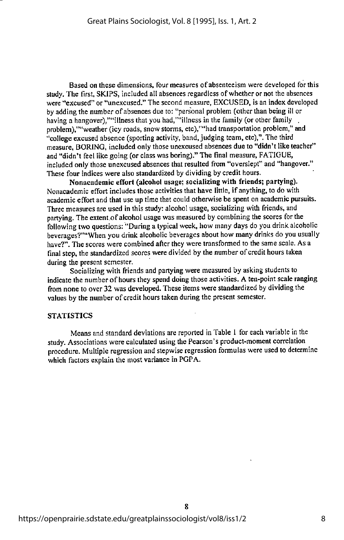Based on these dimensions, four measures of absenteeism were developed for this study. The first, SKIPS, included all absences regardless of whether or not the absences were "excused" or "unexcused." The second measure, EXCUSED, is an index developed by adding the number of absences due to: "personal problem (other than being ill or having a hangover),""illness that you had,""illness in the family (or other family problem),""weather (icy roads, snow storms, etc),""had transportation problem," and "college excused absence (sporting activity, band, judging team, etc),". The third measure, BORING, included only those unexcused absences due to "didn't like teacher" and "didn't feel like going (or class was boring)." The final measure, FATIGUE, included only those unexcused absences that resulted from "overslept" and "hangover." These four indices were also standardized by dividing by credit hours.

Nonacademic effort (alcohol usage; socializing with friends; partying). Nonacademic effort includes those activities that have little, if anything, to do with academic effort and that use up time that could otherwise be spent on academic pursuits. Three measures are used in this study: alcohol usage, socializing with friends, and partying. The extent of alcohol usage was measured by combining the scores for the following two questions: "During a typical week, how many days do you drink alcoholic beverages?""When you drink alcoholic beverages about how many drinks do you usually have?". The scores were combined after they were transformed to the same scale. As a final step, the standardized scores were divided by the number of credit hours taken during the present semester.

Socializing with friends and partying were measured by asking students to indicate the number of hours they spend doing those activities. A ten-point scale ranging from none to over 32 was developed. These items were standardized by dividing the values by the number of credit hours taken during the present semester.

#### **STATISTICS**

Means and standard deviations are reported in Table 1 for each variable in the study. Associations were calculated using the Pearson's product-moment correlation procedure. Multiple regression and stepwise regression formulas were used to determine which factors explain the most variance in PGPA.

R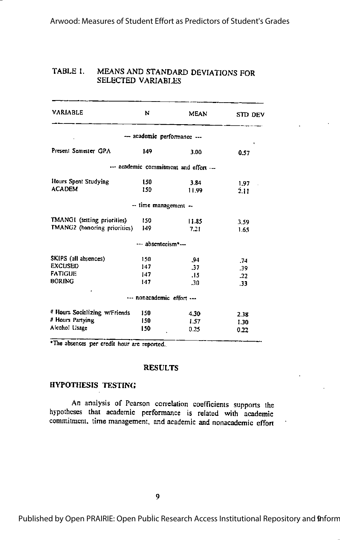#### TABLE 1. MEANS AND STANDARD DEVIATIONS FOR SELECTED VARIABLES

| <b>VARIABLE</b>                                                           | N                        | <b>MEAN</b>                            | STD DEV                    |
|---------------------------------------------------------------------------|--------------------------|----------------------------------------|----------------------------|
|                                                                           |                          | --- academic performance ---           |                            |
| Present Semester GPA                                                      | 149                      | 3.00                                   | 0.57                       |
|                                                                           |                          | --- academic commitment and effort --- |                            |
| Hours Spent Studying<br><b>ACADEM</b>                                     | 150<br>150               | 3.84<br>11.99                          | 1.97<br>2.11               |
|                                                                           | - time management -      |                                        |                            |
| TMANGI (setting priorities)<br>TMANG2 (honoring priorities)               | 150<br>149.              | 11.85<br>7.21                          | 3.59<br>1.65               |
|                                                                           | --- absenteeism*---      |                                        |                            |
| SKIPS (all absences)<br><b>EXCUSED</b><br><b>FATIGUE</b><br><b>BORING</b> | 150<br>147<br>147<br>147 | .94<br>.37<br>15.<br>.30               | .74<br>.39<br>$-22$<br>.33 |
|                                                                           | nonacademic effort       |                                        |                            |
| # Hours Socializing w/Friends<br># Hours Partving<br>Alcohol Usage        | 150<br>150<br>150        | 4.30<br>1.57<br>0.25                   | 2.38<br>1.30<br>0.22       |

\*The absences per credit hour are reported.

#### **RESULTS**

# **HYPOTHESIS TESTING**

An analysis of Pearson correlation coefficients supports the hypotheses that academic performance is related with academic commitment, time management, and academic and nonacademic effort

Published by Open PRAIRIE: Open Public Research Access Institutional Repository and 9nform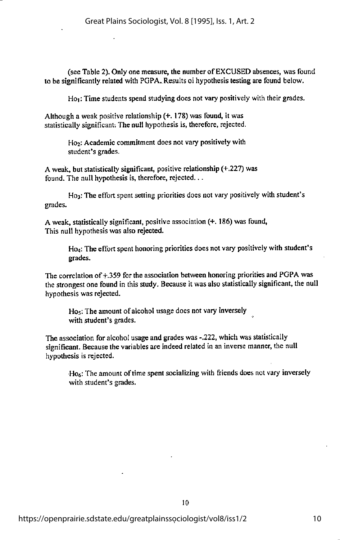(see Table 2). Only one measure, the number of EXCUSED absences, was found to be significantly related with PGPA. Results oi hypothesis testing are found below.

Ho<sub>1</sub>: Time students spend studying does not vary positively with their grades.

Although a weak positive relationship(+, 178) was found, it was statistically significant. The null hypothesis is, therefore, rejected.

> Ho<sub>2</sub>: Academic commitment does not vary positively with student's grades.

A weak, but statistically significant, positive relationship (+.227) was found. The null hypothesis is, therefore, rejected...

Ho<sub>3</sub>: The effort spent setting priorities does not vary positively with student's grades,

A weak, statistically significant, positive association  $(+, 186)$  was found, This null hypothesis was also rejected.

> Ho<sub>4</sub>: The effort spent honoring priorities does not vary positively with student's grades.

The correlation of  $\pm$ ,359 for the association between honoring priorities and PGPA was the strongest one found in this study. Because it was also statistically significant, the null hypothesis was rejected,

Ho<sub>s</sub>: The amount of alcohol usage does not vary inversely with student's grades.

The association for alcohol usage and grades was -.222, which was statistically significant. Because the variables are indeed related in an inverse manner, the null hypothesis is rejected,

Hoe: The amount of time spent socializing with friends does not vary inversely with student's grades.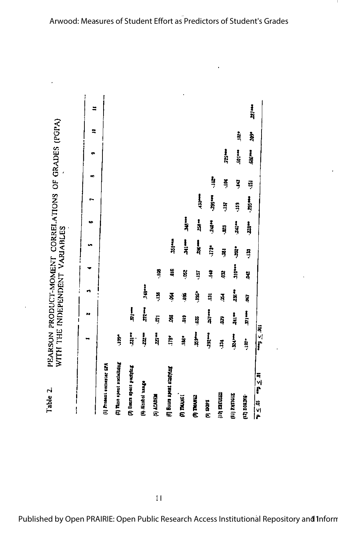77141  $\equiv$ PEARSON PRODUCT-MOMENT CORRELATIONS OF GRADES (POPA)  $\mathbf{a}$ ġ ing. 725\*\*\* **BO1044** 686 www. **SI**  $\frac{3}{2}$ Ş ē -259 **Section** 1250年 ă. 5  $141$ 33 a **240\*4**  $240$  m  $-22$ Ċ. 칰 WITH THE INDEPENDENT VARIABLES  $\frac{1}{7}$  $\frac{1}{2}$ **NS:44** ×,  $173$ <sup>\*</sup>  $-202$ ş  $\frac{1}{2}$ 310\*\*\* ă åí  $\frac{9}{4}$ š ą 57 å 748\*\* -236.44 n Ę å  $\overline{\mathbf{S}}$  $\vec{a}$ Ś ğ Š  $77 \frac{1}{2}$  $\frac{25}{3}$  $\frac{1}{2}$  $\frac{1}{2}$  $\ddot{\phantom{1}}$ ត្ ğ  $\ddot{a}$ 38. Ş  $100 \times 100$ 359110  $\frac{1}{2}$  $.727$ 277 14  $-32.44$ ing.<br>Pa  $\frac{1}{2}$ È ig.  $197$ Ę (7) Time spent sectaling (1) Present somester SPA (3) Bours spent partying (6) Bonra apent studying  $\frac{10-5}{2}$  or  $\frac{10-5}{2}$  or (4) Alcohol usage Table 2. **[10] EXUSED THE PATTERS** (F) ACADEM **TO THANG! CONVAL** extrace Call **Rapis** (b)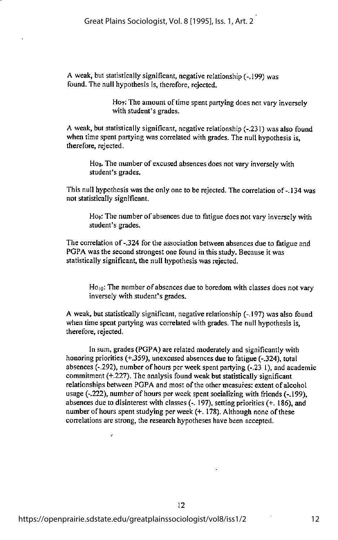A weak, but statistically significant, negative relationship  $(-199)$  was found. The null hypothesis is, therefore, rejected.

> Ho<sub>7</sub>: The amount of time spent partying does not vary inversely with student's grades.

A weak, but statistically significant, negative relationship  $(-231)$  was also found when time spent partying was correlated with grades. The null hypothesis is, therefore, rejected.

Hog. The number of excused absences does not vary inversely with student's grades.

This null hypothesis was the only one to be rejected. The correlation of-.134 was not statistically significant.

Ho<sub>9</sub>: The number of absences due to fatigue does not vary inversely with student's grades.

The correlation of -.324 for the association between absences due to fatigue and PGPA was the second strongest one found in this study. Because it was statistically significant, the null hypothesis was rejected.

Ho<sub>10</sub>: The number of absences due to boredom with classes does not vary inversely with student's grades.

A weak, but statistically significant, negative relationship (-.197) was also found when time spent partying was correlated with grades. The null hypothesis is, therefore, rejected.

In sum, grades (PGPA) are related moderately and significantly with honoring priorities (+.359), unexcused absences due to fatigue (-.324), total absences (-.292), number of hours per week spent partying (-.23 I), and academic commitment (+.227). The analysis found weak but statistically significant relationships between PGPA and most of the other measures: extent of alcohol usage (-.222), number of hours per week spent socializing with friends (-.199), absences due to disinterest with classes  $(-197)$ , setting priorities  $(+186)$ , and number of hours spent studying per week  $(+, 178)$ . Although none of these correlations are strong, the research hypotheses have been accepted.

Ÿ.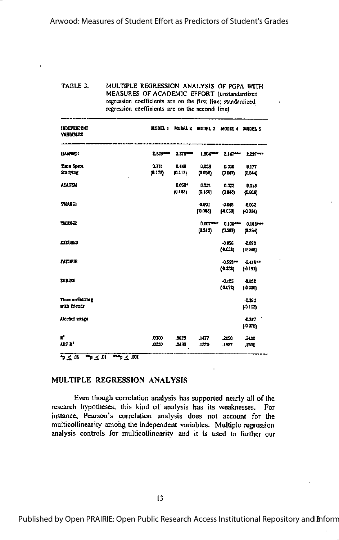TABLE 3. MULTIPLE REGRESSION ANALYSIS OF PGPA WITH MEASURES OF ACADEMIC EFFORT (unstandardized regression coefficients are on the first line; standardized regression coefficients are on the second line)

| <b>INDEPENDENT</b><br><b>VARIABLES</b>     | NODEL 1          | MODEL 2               | MODEL 3 MODEL 4 MODEL 5 |                      |                        |
|--------------------------------------------|------------------|-----------------------|-------------------------|----------------------|------------------------|
| <b>Internett</b>                           | $2.809 - 4$      | $2.276 \rightarrow$   | $1.804***$              | $2.167***$           | $2.23 - 7$             |
| Time Spect<br>Smaring                      | 0.711<br>(0.175) | 0.443<br>(0.112)      | 0.238<br>(0.059)        | 0.030<br>(0.007)     | 0.177<br>(0.044)       |
| <b>ACADEM</b>                              |                  | $0.050*$<br>(0.133)   | 0.031<br>(0.166)        | 0.022<br>(0.043)     | 0.018<br>(0.068)       |
| TM UKC1                                    |                  |                       | 0.001<br>(0.008)        | $-0.005$<br>[0.030]  | $-0.002$<br>(0.014)    |
| <b>TMANEZ</b>                              |                  |                       | $0.107 - 4$<br>(0.313)  | 0.108***<br>(0.307)  | $0.103***$<br>(0.294)  |
| <b>EXCUSED</b>                             |                  |                       |                         | $-0.056$<br>(0.035)  | $-0.070$<br>(0.043)    |
| <b>FATIGUE</b>                             |                  |                       |                         | $-0.595 =$<br>(4.23) | $-0.478$<br>(0.191)    |
| <b>BOXING</b>                              |                  |                       |                         | $-0.125$<br>(0.072)  | $-0.052$<br>(0.030)    |
| <b><i>Time socializing</i></b><br>utu mecu |                  |                       |                         |                      | $-0.363$<br>$[-0.113]$ |
| Alcohol usage                              |                  |                       |                         |                      | $-0.347$<br>រុលកេ      |
| E,<br>ADJ R <sup>a</sup>                   | .0300<br>.0250   | .0625<br><b>JA 96</b> | .1477<br>.1239          | 2250<br>.1857        | 2432<br>.1231          |
| p < 45<br>T > T<br>$  \sim$ .001           |                  |                       |                         |                      |                        |

### MULTIPLE REGRESSION ANALYSIS

Even though correlation analysis has supported nearly all of the research hypotheses, this kind of analysis has its weaknesses. For instance, Pearson's correlation analysis does not account for the multicollinearity among the independent variables. Multiple regression analysis controls for multicollinearity and it is used to further our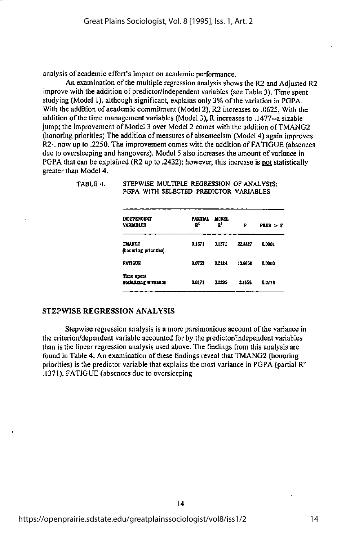analysis of academic effort's impact on academic performance.

An examination of the multiple regression analysis shows the R2 and Adjusted R2 improve with the addition of predictor/independent variables (see Table 3). Time spent studying (Model 1), although significant, explains only 3% of the variation in PGPA. With the addition of academic commitment (Model 2), R2 increases to .0625, With the addition ofthe time management variables (Model 3), R increases to .1477--a sizable Jump; the improvement of Model 3 over Model 2 comes with the addition ofTMANG2 (honoring priorities) The addition of measures of absenteeism (Model 4) again improves R2-. now up to .2250. The improvement comes with the addition of FATIGUE (absences due to oversleeping and hangovers). Model 5 also increases the amount of variance in PGPA that can be explained (R2 up to .2432); however, this increase is not statistically greater than Model 4.

| INDEPENDENT<br><b>VARIABLES</b>    | <b>PARTIAL</b><br>E, | MODRI.<br>E, | 7       | PLOB > F |
|------------------------------------|----------------------|--------------|---------|----------|
| TM INC2<br>(honoring priorities)   | 0.1371               | 0.1571       | 22,3327 | 0.0001   |
| FATIGUE                            | 0.0753               | 0.2124       | 13,6850 | 0.0003   |
| Time spent<br>socializing wittends | 0.0171               | 0.22.5       | 3,1555  | 0.0778   |

#### TABLE 4. STEPWISE MULTIPLE REGRESSION OF ANALYSIS: PGPA WITH SELECTED PREDICTOR VARIABLES

# STEPWISE REGRESSION ANALYSIS

Stepwise regression analysis is a more parsimonious account of the variance in the criterion/dependent variable accounted for by the predictor/independent variables than is the linear regression analysis used above. The findings from this analysis are found in Table 4. An examination of these findings reveal that TMANG2 (honoring priorities) is the predictor variable that explains the most variance in PGPA (partial  $\mathbb{R}^2$ .1371). FATIGUE (absences due to oversleeping

14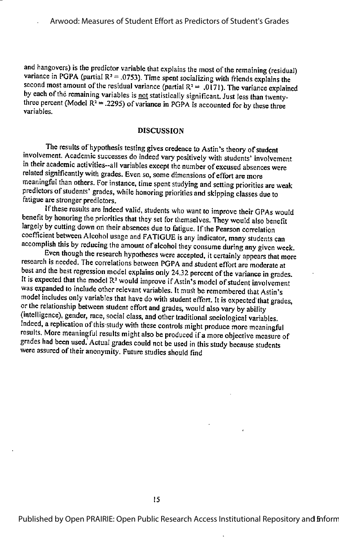and hangovers) is the predictor variable that explains the most of the remaining (residual) variance in PGPA (partial  $R^2 = .0753$ ). Time spent socializing with friends explains the second most amount of the residual variance (partial  $R^2 = .0171$ ). The variance explained by each of the remaining variables is not statistically significant. Just less than twentythree percent (Model  $R^2$  = .2295) of variance in PGPA is accounted for by these three variables.

### DISCUSSION

The results of hypothesis testing gives credence to Astin's theory of student involvement. Academic successes do indeed vary positively with students' involvement in their academic activities—all variables except the number ofexcused absences were related significantly with grades. Even so, some dimensions of effort are more meaningful than others. For instance, time spent studying and setting priorities are weak predictors of students' grades, while honoring priorities and skipping classes due to fatigue are stronger predictors.

Ifthese results are indeed valid, students who want to improve their GPAs would benefit by honoring the priorities that they set for themselves. They would also benefit largely by cutting down on their absences due to fatigue. If the Pearson correlation coefficient between Alcohol usage and FATIGUE is any indicator, many students can accomplish this by reducing the amount of alcohol they consume during any given week.

Even though the research hypotheses were accepted, it certainly appears that more research is needed. The correlations between PGPA and student effort are moderate at best and the best regression model explains only 24.32 percent of the variance in grades. It is expected that the model  $\mathbb{R}^2$  would improve if Astin's model of student involvement was expanded to include other relevant variables. It must be remembered that Astin's model includes only variables that have do with student effort. It is expected that grades, or the relationship between student effort and grades, would also vary by ability (intelligence), gender, race, social class, and other traditional sociological variables. Indeed, a replication of this study with these controls might produce more meaningful results. More meaningful results might also be produced if a more objective measure of grades had been used. Actual grades could not be used in this study because students were assured of their anonymity. Future studies should find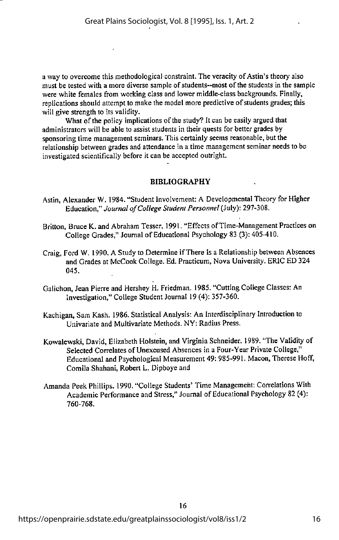a way to overcome this methodological constraint.The veracity of Astin's theory also must be tested with a more diverse sample of students—mostofthe students in the sample were white females from working class and lower middle-class backgrounds. Finally, replications should attempt to make the model more predictive of students grades; this will give strength to its validity.

What of the policy implications of the study? It can be easily argued that administrators will be able to assist students in their quests for better grades by sponsoring time management seminars. This certainly seems reasonable, but the relationship between grades and attendance in a time management seminar needs to be investigated scientifically before it can be accepted outright.

#### BIBLIOGRAPHY

- Astin, Alexander W. 1984."Student Involvement: A Developmental Theory for Higher Education," Journal of College Student Personnel (July): 297-308.
- Britton, Bruce K. and Abraham Tesser. 1991. "Effects of Time-Management Practices on College Grades," Journal of Educational Psychology 83 (3): 405-410.
- Craig, Ford W. 1990. A Study to Determine if There Is a Relationship between Absences and Grades at McCook College. Ed. Practicum, Nova University. ERIC ED 324 045.
- Galichon, Jean Pierre and Hershey H. Friedman. 1985. "Cutting College Classes: An Investigation," College Student Journal 19 (4): 357-360.
- Kachigan, Sam Kash. 1986. Statistical Analysis; An Interdisciplinary Introduction to Univariate and Multivariate Methods. NY: Radius Press.
- Kowalewski, David, Elizabeth Holstein, and Virginia Schneider. 1989. "The Validity of Selected Correlates of Unexcused Absences in a Four-Year Private College." Educational and Psychological Measurement 49:985-991. Macon, Therese Hoff, Comila Shahani, Robert L. Dipboye and
- Amanda PeekPhillips. 1990. "College Students' Time Management: Correlations With Academic Performance and Stress," Journal of Educational Psychology 82 (4): 760-768.

16